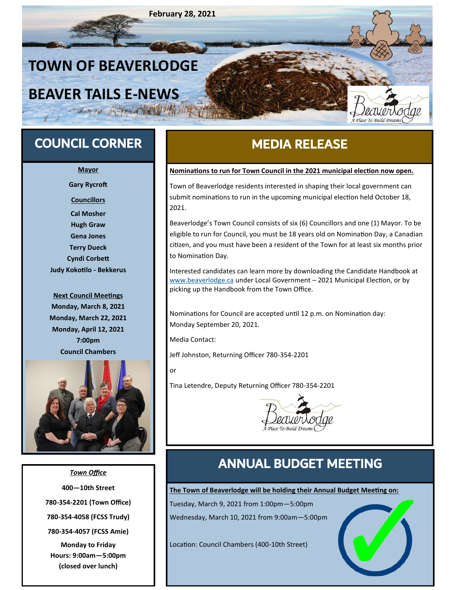

## COUNCIL CORNER

**Mayor**

**Gary Rycroft**

**Councillors**

**Cal Mosher Hugh Graw Gena Jones Terry Dueck Cyndi Corbett Judy Kokotilo - Bekkerus**

**Next Council Meetings Monday, March 8, 2021 Monday, March 22, 2021 Monday, April 12, 2021 7:00pm Council Chambers**



*Town Office* **400—10th Street 780-354-2201 (Town Office) 780-354-4058 (FCSS Trudy) 780-354-4057 (FCSS Amie) Monday to Friday Hours: 9:00am—5:00pm (closed over lunch)**

# MEDIA RELEASE

#### **Nominations to run for Town Council in the 2021 municipal election now open.**

Town of Beaverlodge residents interested in shaping their local government can submit nominations to run in the upcoming municipal election held October 18, 2021.

Beaverlodge's Town Council consists of six (6) Councillors and one (1) Mayor. To be eligible to run for Council, you must be 18 years old on Nomination Day, a Canadian citizen, and you must have been a resident of the Town for at least six months prior to Nomination Day.

Interested candidates can learn more by downloading the Candidate Handbook at [www.beaverlodge.ca](http://www.beaverlodge.ca) under Local Government – 2021 Municipal Election, or by picking up the Handbook from the Town Office.

Nominations for Council are accepted until 12 p.m. on Nomination day: Monday September 20, 2021.

Media Contact:

Jeff Johnston, Returning Officer 780-354-2201

or

Tina Letendre, Deputy Returning Officer 780-354-2201



# ANNUAL BUDGET MEETING

**The Town of Beaverlodge will be holding their Annual Budget Meeting on:**

Tuesday, March 9, 2021 from 1:00pm—5:00pm

Wednesday, March 10, 2021 from 9:00am—5:00pm

Location: Council Chambers (400-10th Street)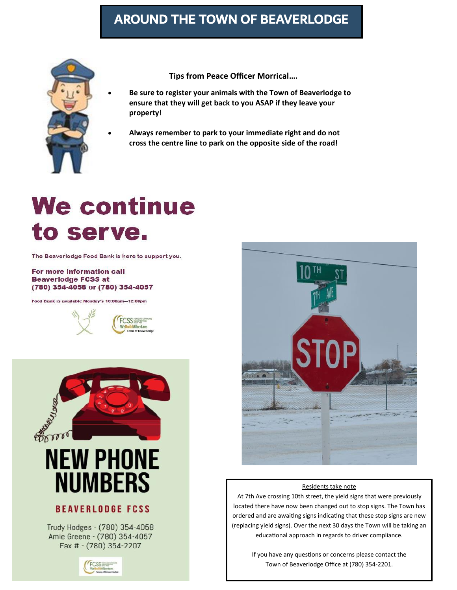# AROUND THE TOWN OF BEAVERLODGE



**Tips from Peace Officer Morrical….**

• **Be sure to register your animals with the Town of Beaverlodge to ensure that they will get back to you ASAP if they leave your property!**

• **Always remember to park to your immediate right and do not cross the centre line to park on the opposite side of the road!**

# **We continue** to serve.

The Beaverlodge Food Bank is here to support you.

#### For more information call **Beaverlodge FCSS at** (780) 354-4058 or (780) 354-4057

Food Bank is available Monday's 10:00am-12:00pm



#### **BEAVERLODGE FCSS**

Trudy Hodges - (780) 354-4058 Amie Greene - (780) 354-4057 Fax # - (780) 354-2207





#### Residents take note

At 7th Ave crossing 10th street, the yield signs that were previously located there have now been changed out to stop signs. The Town has ordered and are awaiting signs indicating that these stop signs are new (replacing yield signs). Over the next 30 days the Town will be taking an educational approach in regards to driver compliance.

> If you have any questions or concerns please contact the Town of Beaverlodge Office at (780) 354-2201.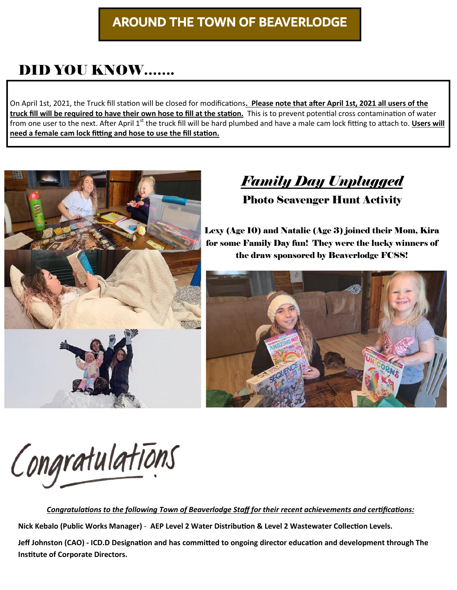# AROUND THE TOWN OF BEAVERLODGE

# DID YOU KNOW…….

On April 1st, 2021, the Truck fill station will be closed for modifications**. Please note that after April 1st, 2021 all users of the truck fill will be required to have their own hose to fill at the station.** This is to prevent potential cross contamination of water from one user to the next. After April 1<sup>st</sup> the truck fill will be hard plumbed and have a male cam lock fitting to attach to. Users will **need a female cam lock fitting and hose to use the fill station.**



*Family Day Unplugged* 

Photo Scavenger Hunt Activity

Lexy (Age 10) and Natalie (Age 3) joined their Mom, Kira for some Family Day fun! They were the lucky winners of the draw sponsored by Beaverlodge FCSS!



Congratulations

*Congratulations to the following Town of Beaverlodge Staff for their recent achievements and certifications:* 

**Nick Kebalo (Public Works Manager)** - **AEP Level 2 Water Distribution & Level 2 Wastewater Collection Levels.** 

**Jeff Johnston (CAO) - ICD.D Designation and has committed to ongoing director education and development through The Institute of Corporate Directors.**